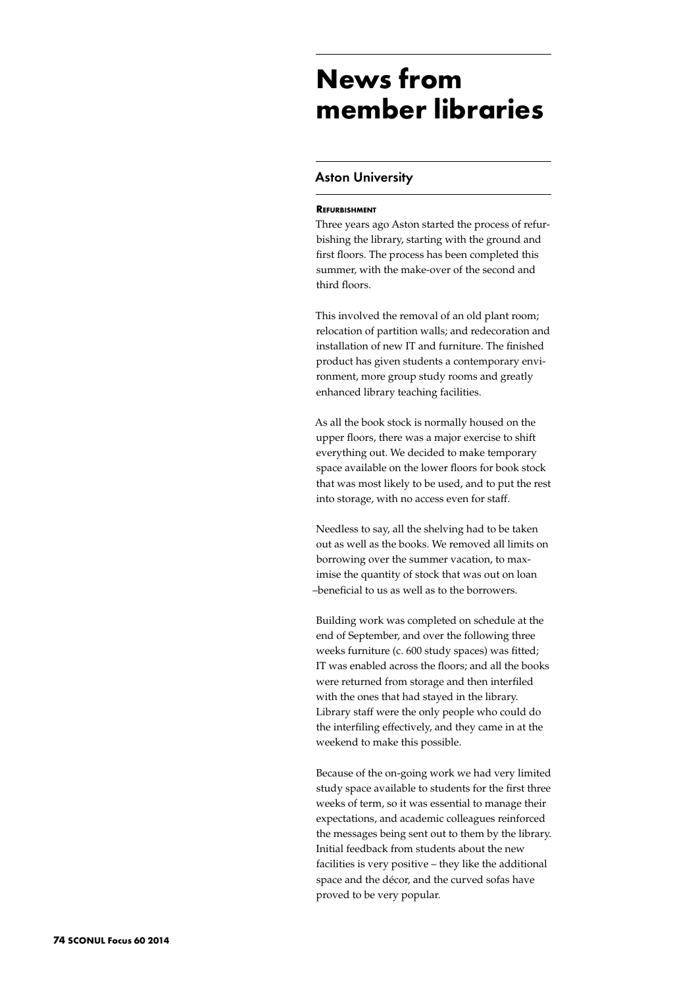# **News from member libraries**

## Aston University

### **Refurbishment**

Three years ago Aston started the process of refurbishing the library, starting with the ground and first floors. The process has been completed this summer, with the make-over of the second and third floors.

This involved the removal of an old plant room; relocation of partition walls; and redecoration and installation of new IT and furniture. The finished product has given students a contemporary environment, more group study rooms and greatly enhanced library teaching facilities.

As all the book stock is normally housed on the upper floors, there was a major exercise to shift everything out. We decided to make temporary space available on the lower floors for book stock that was most likely to be used, and to put the rest into storage, with no access even for staff.

Needless to say, all the shelving had to be taken out as well as the books. We removed all limits on borrowing over the summer vacation, to maximise the quantity of stock that was out on loan –beneficial to us as well as to the borrowers.

Building work was completed on schedule at the end of September, and over the following three weeks furniture (c. 600 study spaces) was fitted; IT was enabled across the floors; and all the books were returned from storage and then interfiled with the ones that had stayed in the library. Library staff were the only people who could do the interfiling effectively, and they came in at the weekend to make this possible.

Because of the on-going work we had very limited study space available to students for the first three weeks of term, so it was essential to manage their expectations, and academic colleagues reinforced the messages being sent out to them by the library. Initial feedback from students about the new facilities is very positive – they like the additional space and the décor, and the curved sofas have proved to be very popular.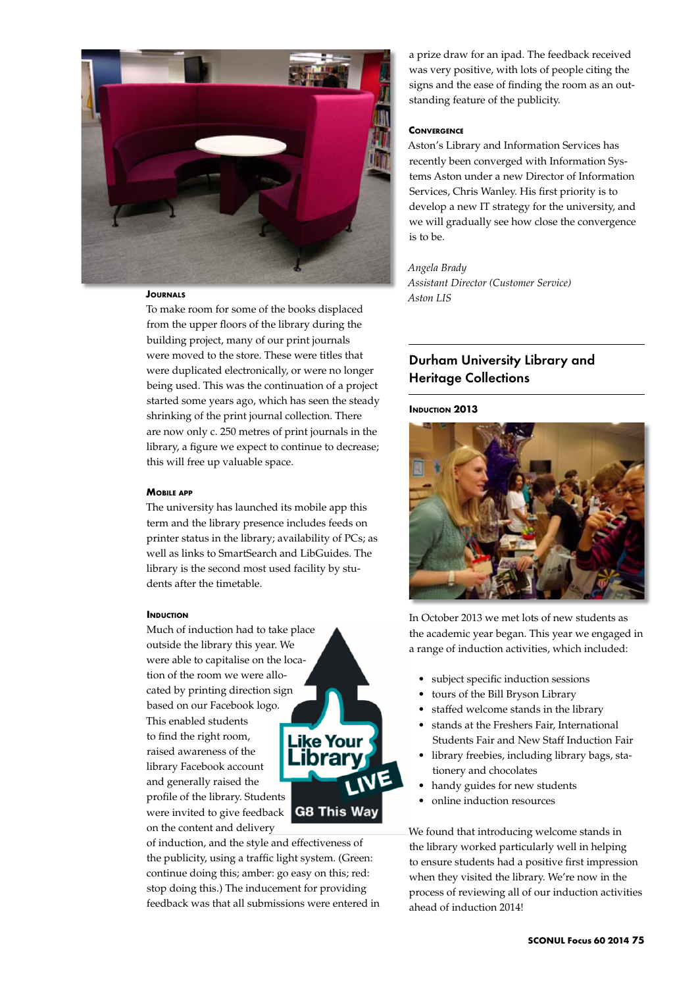

## **JOURNALS**

To make room for some of the books displaced from the upper floors of the library during the building project, many of our print journals were moved to the store. These were titles that were duplicated electronically, or were no longer being used. This was the continuation of a project started some years ago, which has seen the steady shrinking of the print journal collection. There are now only c. 250 metres of print journals in the library, a figure we expect to continue to decrease; this will free up valuable space.

### **Mobile app**

The university has launched its mobile app this term and the library presence includes feeds on printer status in the library; availability of PCs; as well as links to SmartSearch and LibGuides. The library is the second most used facility by students after the timetable.

#### **INDUCTION**

Much of induction had to take place outside the library this year. We were able to capitalise on the location of the room we were allocated by printing direction sign based on our Facebook logo. This enabled students to find the right room, raised awareness of the library Facebook account and generally raised the profile of the library. Students were invited to give feedback **G8 This Way** on the content and delivery



of induction, and the style and effectiveness of the publicity, using a traffic light system. (Green: continue doing this; amber: go easy on this; red: stop doing this.) The inducement for providing feedback was that all submissions were entered in a prize draw for an ipad. The feedback received was very positive, with lots of people citing the signs and the ease of finding the room as an outstanding feature of the publicity.

#### **Convergence**

Aston's Library and Information Services has recently been converged with Information Systems Aston under a new Director of Information Services, Chris Wanley. His first priority is to develop a new IT strategy for the university, and we will gradually see how close the convergence is to be.

*Angela Brady Assistant Director (Customer Service) Aston LIS*

# Durham University Library and Heritage Collections

## **INDUCTION 2013**



In October 2013 we met lots of new students as the academic year began. This year we engaged in a range of induction activities, which included:

- subject specific induction sessions
- tours of the Bill Bryson Library
- staffed welcome stands in the library
- stands at the Freshers Fair, International Students Fair and New Staff Induction Fair
- library freebies, including library bags, stationery and chocolates
- handy guides for new students
- online induction resources

We found that introducing welcome stands in the library worked particularly well in helping to ensure students had a positive first impression when they visited the library. We're now in the process of reviewing all of our induction activities ahead of induction 2014!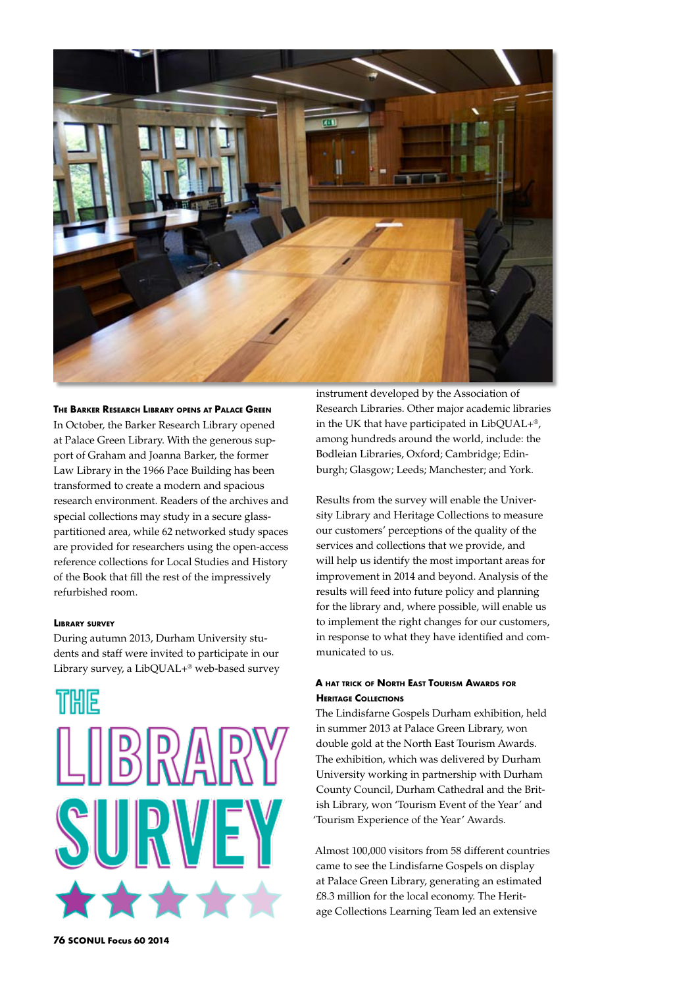

### **The Barker Research Library opens at Palace Green** In October, the Barker Research Library opened

at Palace Green Library. With the generous support of Graham and Joanna Barker, the former Law Library in the 1966 Pace Building has been transformed to create a modern and spacious research environment. Readers of the archives and special collections may study in a secure glasspartitioned area, while 62 networked study spaces are provided for researchers using the open-access reference collections for Local Studies and History of the Book that fill the rest of the impressively refurbished room.

## **Library survey**

During autumn 2013, Durham University students and staff were invited to participate in our Library survey, a LibQUAL+® web-based survey



instrument developed by the Association of Research Libraries. Other major academic libraries in the UK that have participated in LibQUAL+®, among hundreds around the world, include: the Bodleian Libraries, Oxford; Cambridge; Edinburgh; Glasgow; Leeds; Manchester; and York.

Results from the survey will enable the University Library and Heritage Collections to measure our customers' perceptions of the quality of the services and collections that we provide, and will help us identify the most important areas for improvement in 2014 and beyond. Analysis of the results will feed into future policy and planning for the library and, where possible, will enable us to implement the right changes for our customers, in response to what they have identified and communicated to us.

## **A hat trick of North East Tourism Awards for Heritage Collections**

The Lindisfarne Gospels Durham exhibition, held in summer 2013 at Palace Green Library, won double gold at the North East Tourism Awards. The exhibition, which was delivered by Durham University working in partnership with Durham County Council, Durham Cathedral and the British Library, won 'Tourism Event of the Year' and 'Tourism Experience of the Year' Awards.

Almost 100,000 visitors from 58 different countries came to see the Lindisfarne Gospels on display at Palace Green Library, generating an estimated £8.3 million for the local economy. The Heritage Collections Learning Team led an extensive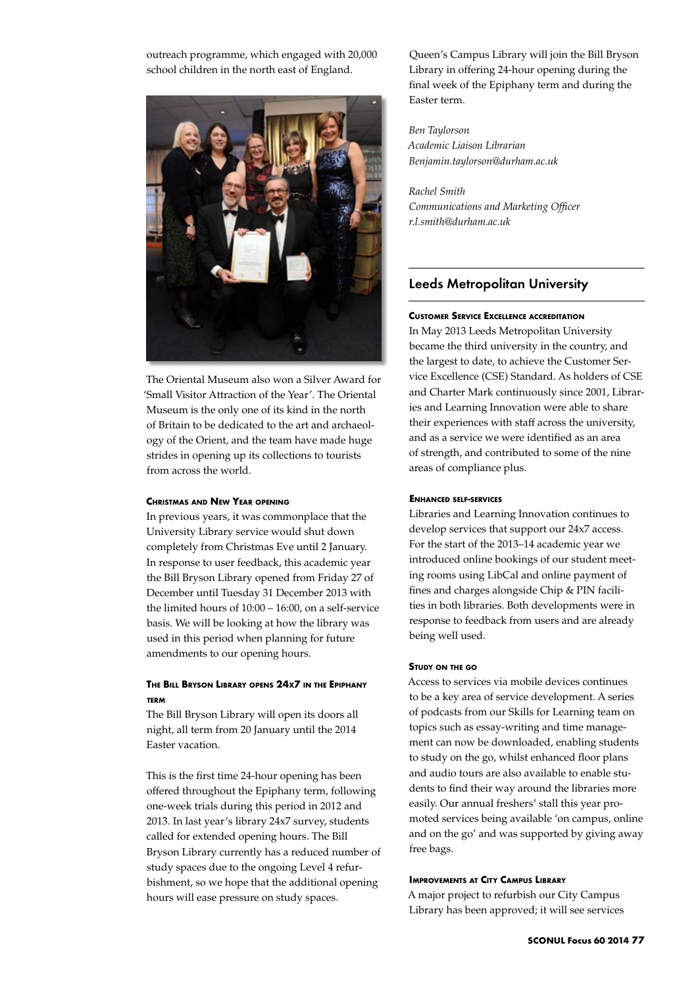outreach programme, which engaged with 20,000 school children in the north east of England.



The Oriental Museum also won a Silver Award for 'Small Visitor Attraction of the Year'. The Oriental Museum is the only one of its kind in the north of Britain to be dedicated to the art and archaeology of the Orient, and the team have made huge strides in opening up its collections to tourists from across the world.

#### **Christmas and New Year opening**

In previous years, it was commonplace that the University Library service would shut down completely from Christmas Eve until 2 January. In response to user feedback, this academic year the Bill Bryson Library opened from Friday 27 of December until Tuesday 31 December 2013 with the limited hours of 10:00 – 16:00, on a self-service basis. We will be looking at how the library was used in this period when planning for future amendments to our opening hours.

## **The Bill Bryson Library opens 24x7 in the Epiphany term**

The Bill Bryson Library will open its doors all night, all term from 20 January until the 2014 Easter vacation.

This is the first time 24-hour opening has been offered throughout the Epiphany term, following one-week trials during this period in 2012 and 2013. In last year's library 24x7 survey, students called for extended opening hours. The Bill Bryson Library currently has a reduced number of study spaces due to the ongoing Level 4 refurbishment, so we hope that the additional opening hours will ease pressure on study spaces.

Queen's Campus Library will join the Bill Bryson Library in offering 24-hour opening during the final week of the Epiphany term and during the Easter term.

*Ben Taylorson Academic Liaison Librarian Benjamin.taylorson@durham.ac.uk*

*Rachel Smith Communications and Marketing Officer r.l.smith@durham.ac.uk* 

## Leeds Metropolitan University

#### **Customer Service Excellence accreditation**

In May 2013 Leeds Metropolitan University became the third university in the country, and the largest to date, to achieve the Customer Service Excellence (CSE) Standard. As holders of CSE and Charter Mark continuously since 2001, Libraries and Learning Innovation were able to share their experiences with staff across the university, and as a service we were identified as an area of strength, and contributed to some of the nine areas of compliance plus.

#### **Enhanced self-services**

Libraries and Learning Innovation continues to develop services that support our 24x7 access. For the start of the 2013–14 academic year we introduced online bookings of our student meeting rooms using LibCal and online payment of fines and charges alongside Chip & PIN facilities in both libraries. Both developments were in response to feedback from users and are already being well used.

#### **Study on the go**

Access to services via mobile devices continues to be a key area of service development. A series of podcasts from our Skills for Learning team on topics such as essay-writing and time management can now be downloaded, enabling students to study on the go, whilst enhanced floor plans and audio tours are also available to enable students to find their way around the libraries more easily. Our annual freshers' stall this year promoted services being available 'on campus, online and on the go' and was supported by giving away free bags.

## **Improvements at City Campus Library**

A major project to refurbish our City Campus Library has been approved; it will see services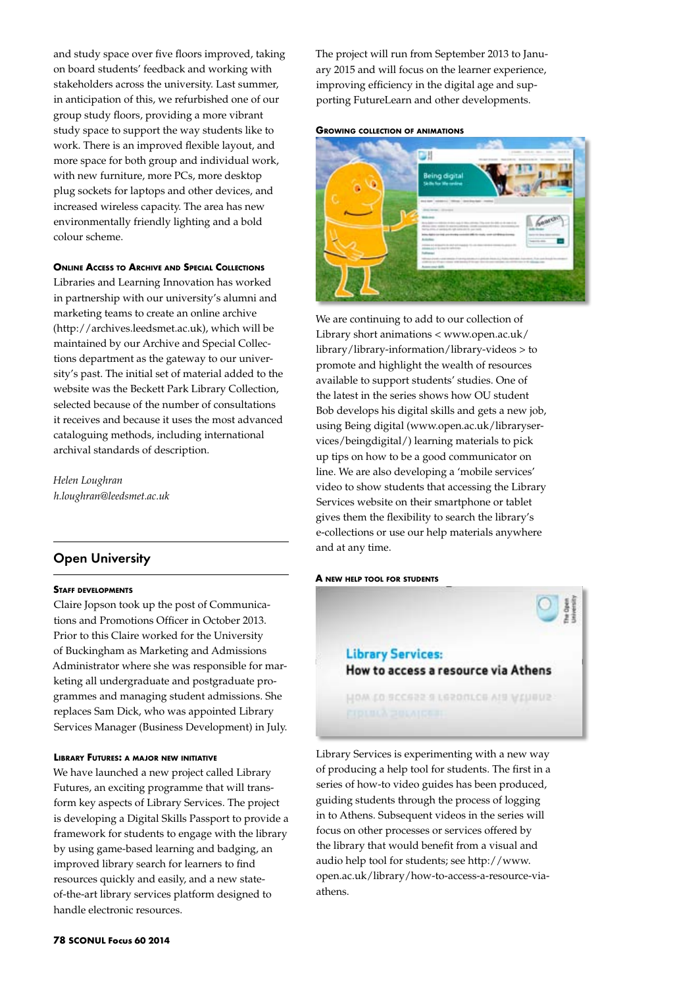and study space over five floors improved, taking on board students' feedback and working with stakeholders across the university. Last summer, in anticipation of this, we refurbished one of our group study floors, providing a more vibrant study space to support the way students like to work. There is an improved flexible layout, and more space for both group and individual work, with new furniture, more PCs, more desktop plug sockets for laptops and other devices, and increased wireless capacity. The area has new environmentally friendly lighting and a bold colour scheme.

## **Online Access to Archive and Special Collections**

Libraries and Learning Innovation has worked in partnership with our university's alumni and marketing teams to create an online archive (http://archives.leedsmet.ac.uk), which will be maintained by our Archive and Special Collections department as the gateway to our university's past. The initial set of material added to the website was the Beckett Park Library Collection, selected because of the number of consultations it receives and because it uses the most advanced cataloguing methods, including international archival standards of description.

*Helen Loughran h.loughran@leedsmet.ac.uk*

## Open University

#### **Staff developments**

Claire Jopson took up the post of Communications and Promotions Officer in October 2013. Prior to this Claire worked for the University of Buckingham as Marketing and Admissions Administrator where she was responsible for marketing all undergraduate and postgraduate programmes and managing student admissions. She replaces Sam Dick, who was appointed Library Services Manager (Business Development) in July.

#### **Library Futures: a major new initiative**

We have launched a new project called Library Futures, an exciting programme that will transform key aspects of Library Services. The project is developing a Digital Skills Passport to provide a framework for students to engage with the library by using game-based learning and badging, an improved library search for learners to find resources quickly and easily, and a new stateof-the-art library services platform designed to handle electronic resources.

The project will run from September 2013 to January 2015 and will focus on the learner experience, improving efficiency in the digital age and supporting FutureLearn and other developments.

#### **Growing collection of animations**



We are continuing to add to our collection of Library short animations < www.open.ac.uk/ library/library-information/library-videos > to promote and highlight the wealth of resources available to support students' studies. One of the latest in the series shows how OU student Bob develops his digital skills and gets a new job, using Being digital (www.open.ac.uk/libraryservices/beingdigital/) learning materials to pick up tips on how to be a good communicator on line. We are also developing a 'mobile services' video to show students that accessing the Library Services website on their smartphone or tablet gives them the flexibility to search the library's e-collections or use our help materials anywhere and at any time.

#### **A new help tool for students**



Library Services is experimenting with a new way of producing a help tool for students. The first in a series of how-to video guides has been produced, guiding students through the process of logging in to Athens. Subsequent videos in the series will focus on other processes or services offered by the library that would benefit from a visual and audio help tool for students; see http://www. open.ac.uk/library/how-to-access-a-resource-viaathens.